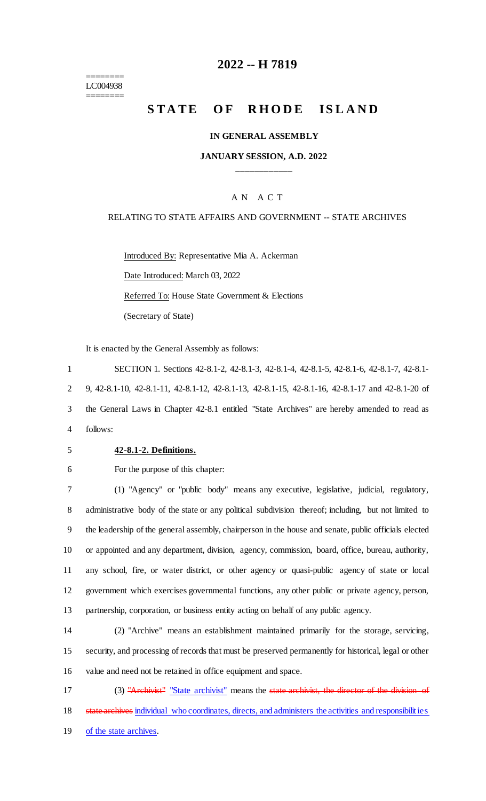======== LC004938 ========

# **2022 -- H 7819**

# **STATE OF RHODE ISLAND**

#### **IN GENERAL ASSEMBLY**

#### **JANUARY SESSION, A.D. 2022 \_\_\_\_\_\_\_\_\_\_\_\_**

#### A N A C T

#### RELATING TO STATE AFFAIRS AND GOVERNMENT -- STATE ARCHIVES

Introduced By: Representative Mia A. Ackerman Date Introduced: March 03, 2022 Referred To: House State Government & Elections (Secretary of State)

It is enacted by the General Assembly as follows:

 SECTION 1. Sections 42-8.1-2, 42-8.1-3, 42-8.1-4, 42-8.1-5, 42-8.1-6, 42-8.1-7, 42-8.1- 9, 42-8.1-10, 42-8.1-11, 42-8.1-12, 42-8.1-13, 42-8.1-15, 42-8.1-16, 42-8.1-17 and 42-8.1-20 of the General Laws in Chapter 42-8.1 entitled "State Archives" are hereby amended to read as 4 follows:

#### 5 **42-8.1-2. Definitions.**

#### 6 For the purpose of this chapter:

 (1) "Agency" or "public body" means any executive, legislative, judicial, regulatory, administrative body of the state or any political subdivision thereof; including, but not limited to the leadership of the general assembly, chairperson in the house and senate, public officials elected or appointed and any department, division, agency, commission, board, office, bureau, authority, any school, fire, or water district, or other agency or quasi-public agency of state or local government which exercises governmental functions, any other public or private agency, person, partnership, corporation, or business entity acting on behalf of any public agency.

14 (2) "Archive" means an establishment maintained primarily for the storage, servicing, 15 security, and processing of records that must be preserved permanently for historical, legal or other 16 value and need not be retained in office equipment and space.

17 (3) "Archivist" "State archivist" means the state archivist, the director of the division of 18 state archives individual who coordinates, directs, and administers the activities and responsibilities 19 of the state archives.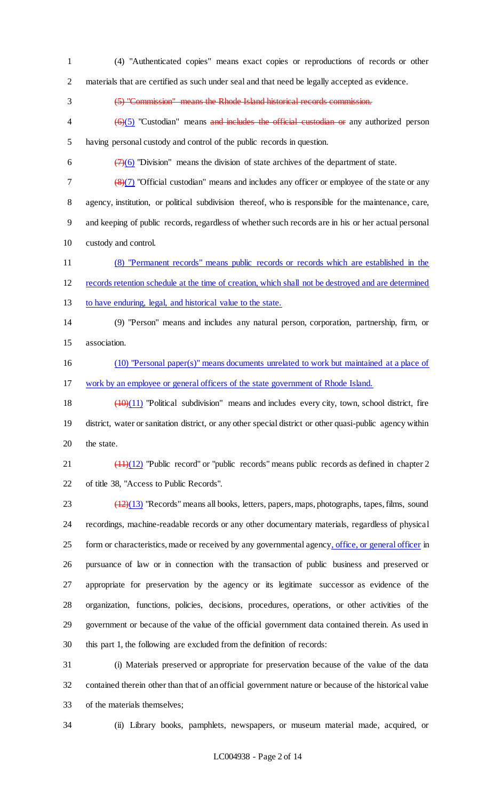(4) "Authenticated copies" means exact copies or reproductions of records or other materials that are certified as such under seal and that need be legally accepted as evidence.

(5) "Commission" means the Rhode Island historical records commission.

 $\left(\frac{6}{6}\right)$  "Custodian" means and includes the official custodian or any authorized person having personal custody and control of the public records in question.

6  $\left(7\right)\left(6\right)$  "Division" means the division of state archives of the department of state.

 $\frac{8}{3}$  (8)(7) "Official custodian" means and includes any officer or employee of the state or any agency, institution, or political subdivision thereof, who is responsible for the maintenance, care, and keeping of public records, regardless of whether such records are in his or her actual personal custody and control.

 (8) "Permanent records" means public records or records which are established in the records retention schedule at the time of creation, which shall not be destroyed and are determined

to have enduring, legal, and historical value to the state.

 (9) "Person" means and includes any natural person, corporation, partnership, firm, or association.

 (10) "Personal paper(s)" means documents unrelated to work but maintained at a place of work by an employee or general officers of the state government of Rhode Island.

18  $\left(\frac{10}{11}\right)$  "Political subdivision" means and includes every city, town, school district, fire district, water or sanitation district, or any other special district or other quasi-public agency within the state.

21  $\left(\frac{(11)(12)}{2}\right)$  "Public record" or "public records" means public records as defined in chapter 2 of title 38, "Access to Public Records".

 $\frac{(12)(13)}{23}$  "Records" means all books, letters, papers, maps, photographs, tapes, films, sound recordings, machine-readable records or any other documentary materials, regardless of physical 25 form or characteristics, made or received by any governmental agency, office, or general officer in pursuance of law or in connection with the transaction of public business and preserved or appropriate for preservation by the agency or its legitimate successor as evidence of the organization, functions, policies, decisions, procedures, operations, or other activities of the government or because of the value of the official government data contained therein. As used in this part 1, the following are excluded from the definition of records:

 (i) Materials preserved or appropriate for preservation because of the value of the data contained therein other than that of an official government nature or because of the historical value of the materials themselves;

(ii) Library books, pamphlets, newspapers, or museum material made, acquired, or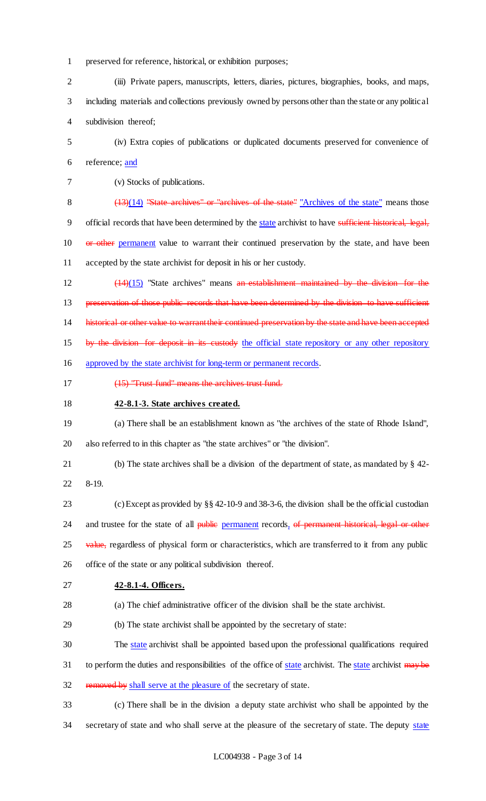- preserved for reference, historical, or exhibition purposes;
- (iii) Private papers, manuscripts, letters, diaries, pictures, biographies, books, and maps, including materials and collections previously owned by persons other than the state or any political subdivision thereof;
- (iv) Extra copies of publications or duplicated documents preserved for convenience of reference; and
- (v) Stocks of publications.
- 

8 (13)(14) "State archives" or "archives of the state" "Archives of the state" means those 9 official records that have been determined by the state archivist to have sufficient historical, legal, 10 or other permanent value to warrant their continued preservation by the state, and have been accepted by the state archivist for deposit in his or her custody.

 (14)(15) "State archives" means an establishment maintained by the division for the 13 preservation of those public records that have been determined by the division to have sufficient 14 historical or other value to warrant their continued preservation by the state and have been accepted 15 by the division for deposit in its custody the official state repository or any other repository

approved by the state archivist for long-term or permanent records.

- (15) "Trust fund" means the archives trust fund.
- **42-8.1-3. State archives created.**
- (a) There shall be an establishment known as "the archives of the state of Rhode Island", also referred to in this chapter as "the state archives" or "the division".
- (b) The state archives shall be a division of the department of state, as mandated by § 42- 8-19.
- (c) Except as provided by §§ 42-10-9 and 38-3-6, the division shall be the official custodian 24 and trustee for the state of all public permanent records, of permanent historical, legal or other 25 value, regardless of physical form or characteristics, which are transferred to it from any public office of the state or any political subdivision thereof.
- **42-8.1-4. Officers.**
- (a) The chief administrative officer of the division shall be the state archivist.
- (b) The state archivist shall be appointed by the secretary of state:
- The state archivist shall be appointed based upon the professional qualifications required
- 31 to perform the duties and responsibilities of the office of state archivist. The state archivist may be
- 32 removed by shall serve at the pleasure of the secretary of state.

 (c) There shall be in the division a deputy state archivist who shall be appointed by the 34 secretary of state and who shall serve at the pleasure of the secretary of state. The deputy state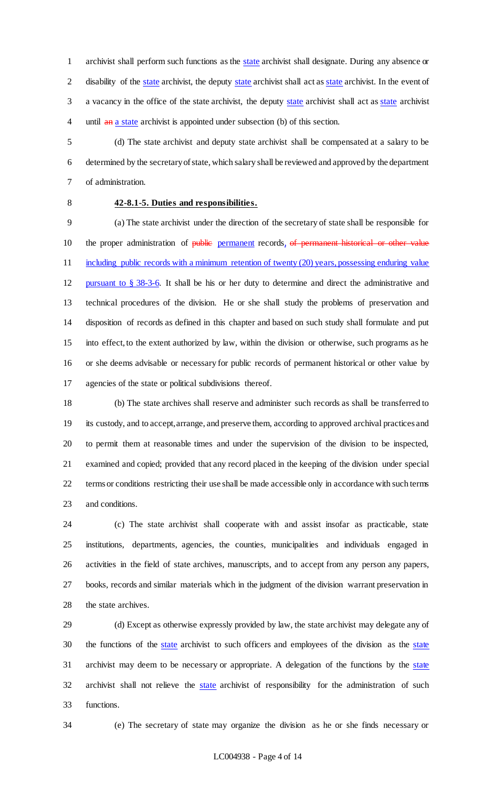archivist shall perform such functions as the state archivist shall designate. During any absence or 2 disability of the state archivist, the deputy state archivist shall act as state archivist. In the event of 3 a vacancy in the office of the state archivist, the deputy state archivist shall act as state archivist 4 until an a state archivist is appointed under subsection (b) of this section.

 (d) The state archivist and deputy state archivist shall be compensated at a salary to be determined by the secretary of state, which salary shall be reviewed and approved by the department of administration.

# **42-8.1-5. Duties and responsibilities.**

 (a) The state archivist under the direction of the secretary of state shall be responsible for 10 the proper administration of public permanent records, of permanent historical or other value 11 including public records with a minimum retention of twenty (20) years, possessing enduring value pursuant to § 38-3-6. It shall be his or her duty to determine and direct the administrative and technical procedures of the division. He or she shall study the problems of preservation and disposition of records as defined in this chapter and based on such study shall formulate and put into effect, to the extent authorized by law, within the division or otherwise, such programs as he or she deems advisable or necessary for public records of permanent historical or other value by agencies of the state or political subdivisions thereof.

 (b) The state archives shall reserve and administer such records as shall be transferred to its custody, and to accept, arrange, and preserve them, according to approved archival practices and to permit them at reasonable times and under the supervision of the division to be inspected, examined and copied; provided that any record placed in the keeping of the division under special terms or conditions restricting their use shall be made accessible only in accordance with such terms and conditions.

 (c) The state archivist shall cooperate with and assist insofar as practicable, state institutions, departments, agencies, the counties, municipalities and individuals engaged in activities in the field of state archives, manuscripts, and to accept from any person any papers, books, records and similar materials which in the judgment of the division warrant preservation in the state archives.

 (d) Except as otherwise expressly provided by law, the state archivist may delegate any of 30 the functions of the state archivist to such officers and employees of the division as the state archivist may deem to be necessary or appropriate. A delegation of the functions by the state 32 archivist shall not relieve the state archivist of responsibility for the administration of such functions.

(e) The secretary of state may organize the division as he or she finds necessary or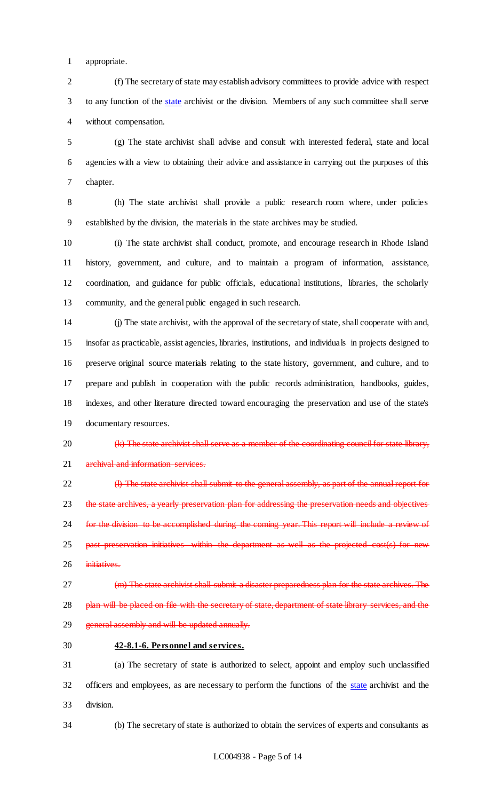appropriate.

 (f) The secretary of state may establish advisory committees to provide advice with respect to any function of the state archivist or the division. Members of any such committee shall serve without compensation.

 (g) The state archivist shall advise and consult with interested federal, state and local agencies with a view to obtaining their advice and assistance in carrying out the purposes of this chapter.

 (h) The state archivist shall provide a public research room where, under policies established by the division, the materials in the state archives may be studied.

 (i) The state archivist shall conduct, promote, and encourage research in Rhode Island history, government, and culture, and to maintain a program of information, assistance, coordination, and guidance for public officials, educational institutions, libraries, the scholarly community, and the general public engaged in such research.

 (j) The state archivist, with the approval of the secretary of state, shall cooperate with and, insofar as practicable, assist agencies, libraries, institutions, and individuals in projects designed to preserve original source materials relating to the state history, government, and culture, and to prepare and publish in cooperation with the public records administration, handbooks, guides, indexes, and other literature directed toward encouraging the preservation and use of the state's documentary resources.

20 (k) The state archivist shall serve as a member of the coordinating council for state library, 21 archival and information services.

 (l) The state archivist shall submit to the general assembly, as part of the annual report for 23 the state archives, a yearly preservation plan for addressing the preservation needs and objectives 24 for the division to be accomplished during the coming year. This report will include a review of 25 past preservation initiatives within the department as well as the projected cost(s) for new 26 initiatives.

 (m) The state archivist shall submit a disaster preparedness plan for the state archives. The 28 plan will be placed on file with the secretary of state, department of state library services, and the 29 general assembly and will be updated annually.

**42-8.1-6. Personnel and services.**

 (a) The secretary of state is authorized to select, appoint and employ such unclassified 32 officers and employees, as are necessary to perform the functions of the state archivist and the division.

(b) The secretary of state is authorized to obtain the services of experts and consultants as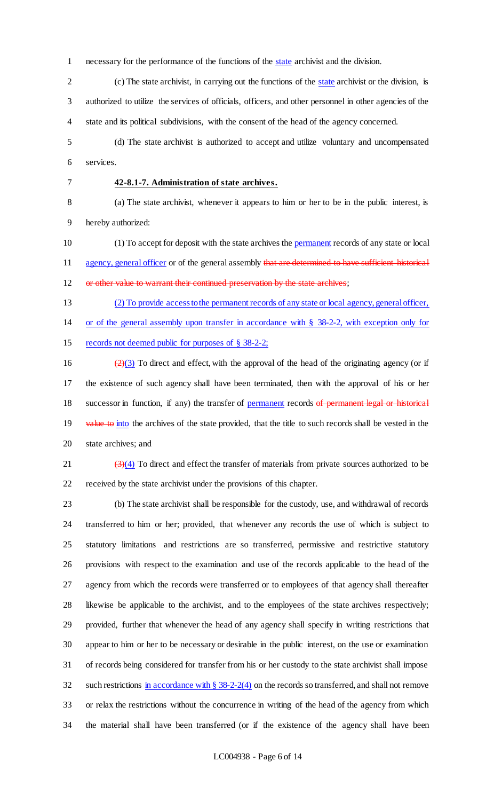necessary for the performance of the functions of the state archivist and the division.

 (c) The state archivist, in carrying out the functions of the state archivist or the division, is authorized to utilize the services of officials, officers, and other personnel in other agencies of the state and its political subdivisions, with the consent of the head of the agency concerned.

 (d) The state archivist is authorized to accept and utilize voluntary and uncompensated services.

# **42-8.1-7. Administration of state archives.**

 (a) The state archivist, whenever it appears to him or her to be in the public interest, is hereby authorized:

 (1) To accept for deposit with the state archives the permanent records of any state or local 11 agency, general officer or of the general assembly that are determined to have sufficient historical

12 or other value to warrant their continued preservation by the state archives;

(2) To provide access to the permanent records of any state or local agency, general officer,

or of the general assembly upon transfer in accordance with § 38-2-2, with exception only for

records not deemed public for purposes of § 38-2-2;

16  $\left(\frac{2}{3}\right)$  To direct and effect, with the approval of the head of the originating agency (or if the existence of such agency shall have been terminated, then with the approval of his or her 18 successor in function, if any) the transfer of permanent records of permanent legal or historical 19 value to into the archives of the state provided, that the title to such records shall be vested in the state archives; and

 $\left(\frac{3}{4}\right)$  To direct and effect the transfer of materials from private sources authorized to be received by the state archivist under the provisions of this chapter.

 (b) The state archivist shall be responsible for the custody, use, and withdrawal of records transferred to him or her; provided, that whenever any records the use of which is subject to statutory limitations and restrictions are so transferred, permissive and restrictive statutory provisions with respect to the examination and use of the records applicable to the head of the agency from which the records were transferred or to employees of that agency shall thereafter likewise be applicable to the archivist, and to the employees of the state archives respectively; provided, further that whenever the head of any agency shall specify in writing restrictions that appear to him or her to be necessary or desirable in the public interest, on the use or examination of records being considered for transfer from his or her custody to the state archivist shall impose 32 such restrictions in accordance with  $\S 38-2-2(4)$  on the records so transferred, and shall not remove or relax the restrictions without the concurrence in writing of the head of the agency from which the material shall have been transferred (or if the existence of the agency shall have been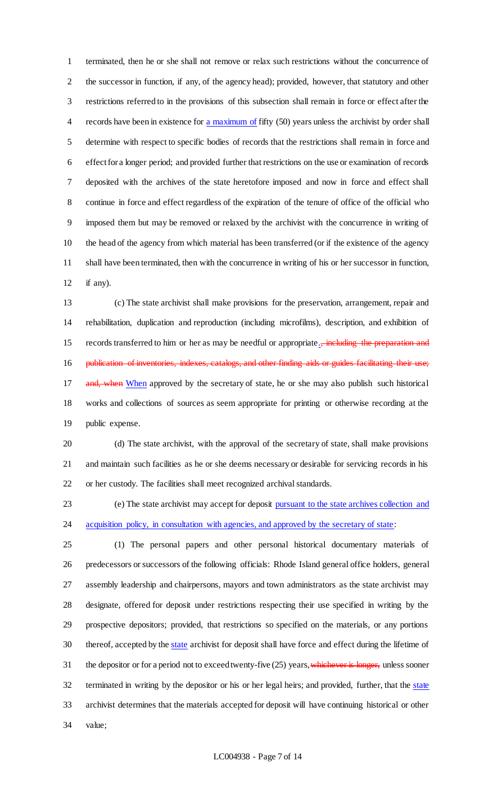terminated, then he or she shall not remove or relax such restrictions without the concurrence of the successor in function, if any, of the agency head); provided, however, that statutory and other restrictions referred to in the provisions of this subsection shall remain in force or effect after the 4 records have been in existence for a maximum of fifty (50) years unless the archivist by order shall determine with respect to specific bodies of records that the restrictions shall remain in force and effect for a longer period; and provided further that restrictions on the use or examination of records deposited with the archives of the state heretofore imposed and now in force and effect shall continue in force and effect regardless of the expiration of the tenure of office of the official who imposed them but may be removed or relaxed by the archivist with the concurrence in writing of the head of the agency from which material has been transferred (or if the existence of the agency shall have been terminated, then with the concurrence in writing of his or her successor in function, if any).

 (c) The state archivist shall make provisions for the preservation, arrangement, repair and rehabilitation, duplication and reproduction (including microfilms), description, and exhibition of 15 records transferred to him or her as may be needful or appropriate.<del>, including the preparation and</del> 16 publication of inventories, indexes, catalogs, and other finding aids or guides facilitating their use; 17 and, when When approved by the secretary of state, he or she may also publish such historical works and collections of sources as seem appropriate for printing or otherwise recording at the public expense.

 (d) The state archivist, with the approval of the secretary of state, shall make provisions and maintain such facilities as he or she deems necessary or desirable for servicing records in his or her custody. The facilities shall meet recognized archival standards.

 (e) The state archivist may accept for deposit pursuant to the state archives collection and 24 acquisition policy, in consultation with agencies, and approved by the secretary of state:

 (1) The personal papers and other personal historical documentary materials of predecessors or successors of the following officials: Rhode Island general office holders, general assembly leadership and chairpersons, mayors and town administrators as the state archivist may designate, offered for deposit under restrictions respecting their use specified in writing by the prospective depositors; provided, that restrictions so specified on the materials, or any portions 30 thereof, accepted by the state archivist for deposit shall have force and effect during the lifetime of 31 the depositor or for a period not to exceed twenty-five (25) years, whichever is longer, unless sooner 32 terminated in writing by the depositor or his or her legal heirs; and provided, further, that the state archivist determines that the materials accepted for deposit will have continuing historical or other value;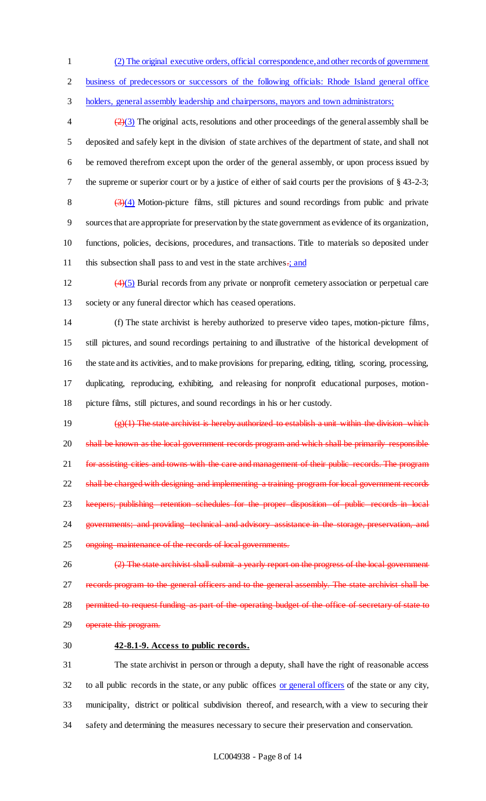1 (2) The original executive orders, official correspondence, and other records of government

2 business of predecessors or successors of the following officials: Rhode Island general office

3 holders, general assembly leadership and chairpersons, mayors and town administrators;

 $\left(\frac{2}{3}\right)$  The original acts, resolutions and other proceedings of the general assembly shall be deposited and safely kept in the division of state archives of the department of state, and shall not be removed therefrom except upon the order of the general assembly, or upon process issued by the supreme or superior court or by a justice of either of said courts per the provisions of § 43-2-3;  $(3)(4)$  Motion-picture films, still pictures and sound recordings from public and private sources that are appropriate for preservation by the state government as evidence of its organization, functions, policies, decisions, procedures, and transactions. Title to materials so deposited under 11 this subsection shall pass to and vest in the state archives-; and

 $\left(4\right)(5)$  Burial records from any private or nonprofit cemetery association or perpetual care 13 society or any funeral director which has ceased operations.

 (f) The state archivist is hereby authorized to preserve video tapes, motion-picture films, still pictures, and sound recordings pertaining to and illustrative of the historical development of the state and its activities, and to make provisions for preparing, editing, titling, scoring, processing, duplicating, reproducing, exhibiting, and releasing for nonprofit educational purposes, motion-picture films, still pictures, and sound recordings in his or her custody.

19  $\left(\frac{1}{2}\right)$  The state archivist is hereby authorized to establish a unit within the division which 20 shall be known as the local government records program and which shall be primarily responsible 21 for assisting cities and towns with the care and management of their public records. The program 22 shall be charged with designing and implementing a training program for local government records 23 keepers; publishing retention schedules for the proper disposition of public records in local 24 governments; and providing technical and advisory assistance in the storage, preservation, and 25 ongoing maintenance of the records of local governments.

26 (2) The state archivist shall submit a yearly report on the progress of the local government 27 records program to the general officers and to the general assembly. The state archivist shall be 28 permitted to request funding as part of the operating budget of the office of secretary of state to 29 operate this program.

# 30 **42-8.1-9. Access to public records.**

 The state archivist in person or through a deputy, shall have the right of reasonable access 32 to all public records in the state, or any public offices or general officers of the state or any city, municipality, district or political subdivision thereof, and research, with a view to securing their safety and determining the measures necessary to secure their preservation and conservation.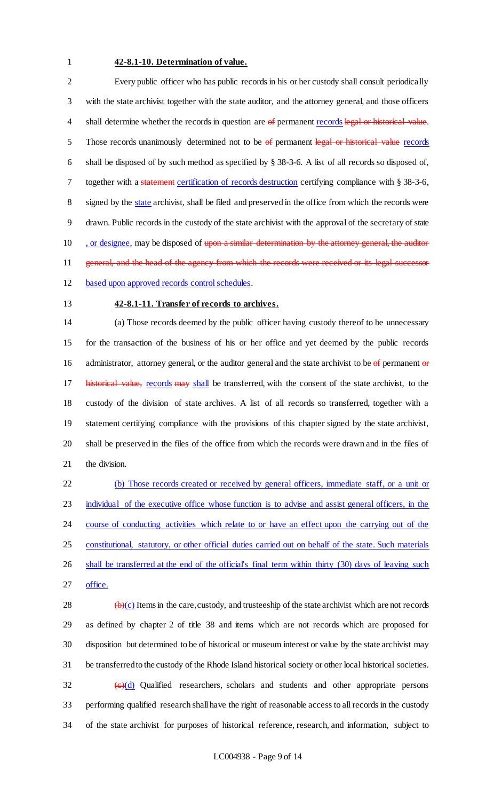#### **42-8.1-10. Determination of value.**

 Every public officer who has public records in his or her custody shall consult periodically with the state archivist together with the state auditor, and the attorney general, and those officers 4 shall determine whether the records in question are of permanent records legal or historical value. 5 Those records unanimously determined not to be  $\theta$  permanent legal or historical value records shall be disposed of by such method as specified by § 38-3-6. A list of all records so disposed of, 7 together with a statement certification of records destruction certifying compliance with § 38-3-6, signed by the state archivist, shall be filed and preserved in the office from which the records were drawn. Public records in the custody of the state archivist with the approval of the secretary of state 10 , or designee, may be disposed of upon a similar determination by the attorney general, the auditor 11 general, and the head of the agency from which the records were received or its legal successor

- based upon approved records control schedules.
- 

### **42-8.1-11. Transfer of records to archives.**

 (a) Those records deemed by the public officer having custody thereof to be unnecessary for the transaction of the business of his or her office and yet deemed by the public records 16 administrator, attorney general, or the auditor general and the state archivist to be  $\theta$  permanent  $\theta$  re 17 historical value, records may shall be transferred, with the consent of the state archivist, to the custody of the division of state archives. A list of all records so transferred, together with a statement certifying compliance with the provisions of this chapter signed by the state archivist, shall be preserved in the files of the office from which the records were drawn and in the files of the division.

 (b) Those records created or received by general officers, immediate staff, or a unit or individual of the executive office whose function is to advise and assist general officers, in the 24 course of conducting activities which relate to or have an effect upon the carrying out of the constitutional, statutory, or other official duties carried out on behalf of the state. Such materials 26 shall be transferred at the end of the official's final term within thirty (30) days of leaving such office.

 $\leftrightarrow$  (b)(c) Items in the care, custody, and trusteeship of the state archivist which are not records as defined by chapter 2 of title 38 and items which are not records which are proposed for disposition but determined to be of historical or museum interest or value by the state archivist may be transferred to the custody of the Rhode Island historical society or other local historical societies.  $\left(\frac{e}{d}\right)$  Qualified researchers, scholars and students and other appropriate persons performing qualified research shall have the right of reasonable access to all records in the custody of the state archivist for purposes of historical reference, research, and information, subject to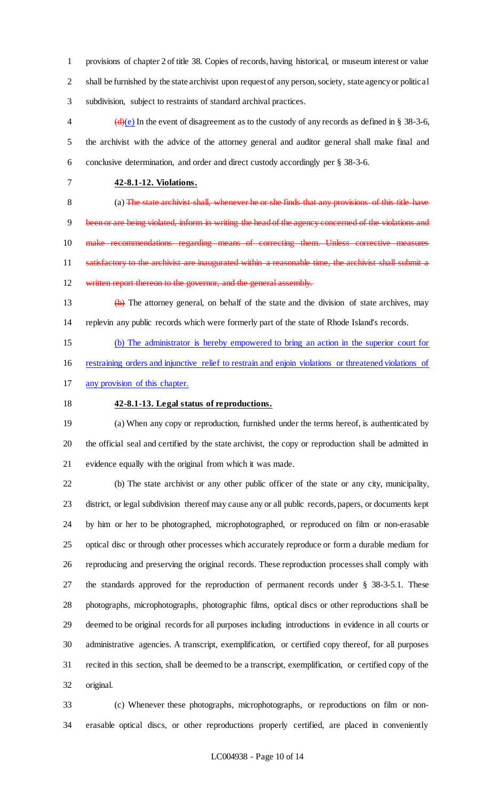provisions of chapter 2 of title 38. Copies of records, having historical, or museum interest or value shall be furnished by the state archivist upon request of any person, society, state agency or political subdivision, subject to restraints of standard archival practices.

4  $\left(\frac{d}{e}\right)$  In the event of disagreement as to the custody of any records as defined in § 38-3-6, the archivist with the advice of the attorney general and auditor general shall make final and conclusive determination, and order and direct custody accordingly per § 38-3-6.

**42-8.1-12. Violations.**

 (a) The state archivist shall, whenever he or she finds that any provisions of this title have 9 been or are being violated, inform in writing the head of the agency concerned of the violations and make recommendations regarding means of correcting them. Unless corrective measures 11 satisfactory to the archivist are inaugurated within a reasonable time, the archivist shall submit a

12 written report thereon to the governor, and the general assembly.

 (b) The attorney general, on behalf of the state and the division of state archives, may replevin any public records which were formerly part of the state of Rhode Island's records.

 (b) The administrator is hereby empowered to bring an action in the superior court for restraining orders and injunctive relief to restrain and enjoin violations or threatened violations of

any provision of this chapter.

# **42-8.1-13. Legal status of reproductions.**

 (a) When any copy or reproduction, furnished under the terms hereof, is authenticated by the official seal and certified by the state archivist, the copy or reproduction shall be admitted in evidence equally with the original from which it was made.

 (b) The state archivist or any other public officer of the state or any city, municipality, district, or legal subdivision thereof may cause any or all public records, papers, or documents kept by him or her to be photographed, microphotographed, or reproduced on film or non-erasable optical disc or through other processes which accurately reproduce or form a durable medium for reproducing and preserving the original records. These reproduction processes shall comply with the standards approved for the reproduction of permanent records under § 38-3-5.1. These photographs, microphotographs, photographic films, optical discs or other reproductions shall be deemed to be original records for all purposes including introductions in evidence in all courts or administrative agencies. A transcript, exemplification, or certified copy thereof, for all purposes recited in this section, shall be deemed to be a transcript, exemplification, or certified copy of the original.

 (c) Whenever these photographs, microphotographs, or reproductions on film or non-erasable optical discs, or other reproductions properly certified, are placed in conveniently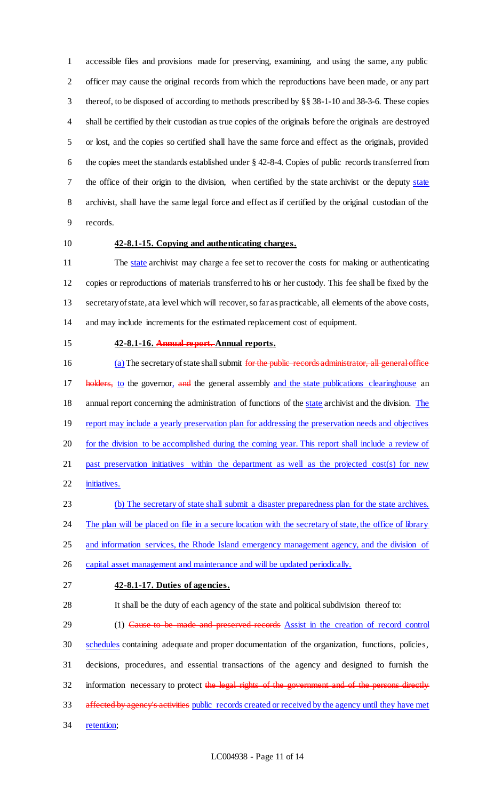accessible files and provisions made for preserving, examining, and using the same, any public officer may cause the original records from which the reproductions have been made, or any part thereof, to be disposed of according to methods prescribed by §§ 38-1-10 and 38-3-6. These copies shall be certified by their custodian as true copies of the originals before the originals are destroyed or lost, and the copies so certified shall have the same force and effect as the originals, provided the copies meet the standards established under § 42-8-4. Copies of public records transferred from the office of their origin to the division, when certified by the state archivist or the deputy state archivist, shall have the same legal force and effect as if certified by the original custodian of the records.

# **42-8.1-15. Copying and authenticating charges.**

11 The state archivist may charge a fee set to recover the costs for making or authenticating copies or reproductions of materials transferred to his or her custody. This fee shall be fixed by the secretary of state, at a level which will recover, so far as practicable, all elements of the above costs, and may include increments for the estimated replacement cost of equipment.

#### **42-8.1-16. Annual report. Annual reports.**

16 (a) The secretary of state shall submit for the public records administrator, all general office 17 holders, to the governor, and the general assembly and the state publications clearinghouse an 18 annual report concerning the administration of functions of the state archivist and the division. The 19 report may include a yearly preservation plan for addressing the preservation needs and objectives for the division to be accomplished during the coming year. This report shall include a review of past preservation initiatives within the department as well as the projected cost(s) for new initiatives.

(b) The secretary of state shall submit a disaster preparedness plan for the state archives.

24 The plan will be placed on file in a secure location with the secretary of state, the office of library

25 and information services, the Rhode Island emergency management agency, and the division of

26 capital asset management and maintenance and will be updated periodically.

## **42-8.1-17. Duties of agencies.**

It shall be the duty of each agency of the state and political subdivision thereof to:

29 (1) Cause to be made and preserved records Assist in the creation of record control schedules containing adequate and proper documentation of the organization, functions, policies, decisions, procedures, and essential transactions of the agency and designed to furnish the 32 information necessary to protect the legal rights of the government and of the persons directly 33 affected by agency's activities public records created or received by the agency until they have met retention;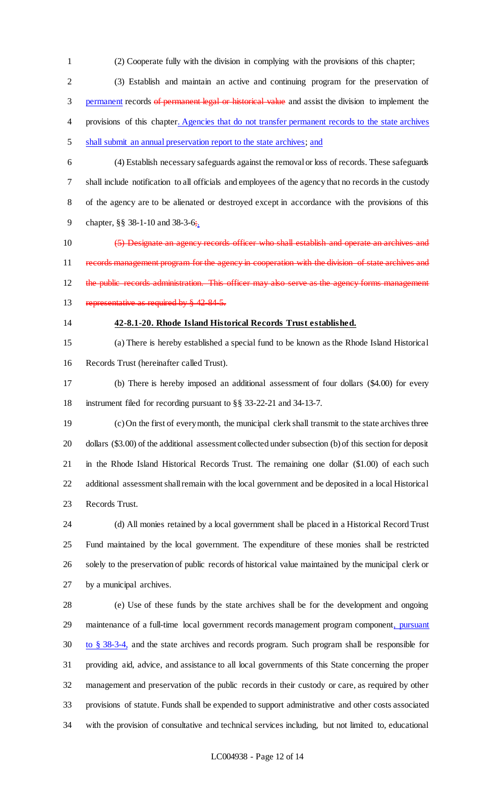(2) Cooperate fully with the division in complying with the provisions of this chapter;

 (3) Establish and maintain an active and continuing program for the preservation of 3 permanent records of permanent legal or historical value and assist the division to implement the 4 provisions of this chapter. Agencies that do not transfer permanent records to the state archives shall submit an annual preservation report to the state archives; and

 (4) Establish necessary safeguards against the removal or loss of records. These safeguards shall include notification to all officials and employees of the agency that no records in the custody of the agency are to be alienated or destroyed except in accordance with the provisions of this 9 chapter, §§ 38-1-10 and 38-3-6;.

 (5) Designate an agency records officer who shall establish and operate an archives and 11 records management program for the agency in cooperation with the division of state archives and 12 the public records administration. This officer may also serve as the agency forms management 13 representative as required by § 42-84-5.

#### **42-8.1-20. Rhode Island Historical Records Trust established.**

 (a) There is hereby established a special fund to be known as the Rhode Island Historical Records Trust (hereinafter called Trust).

 (b) There is hereby imposed an additional assessment of four dollars (\$4.00) for every instrument filed for recording pursuant to §§ 33-22-21 and 34-13-7.

 (c) On the first of every month, the municipal clerk shall transmit to the state archives three dollars (\$3.00) of the additional assessment collected under subsection (b) of this section for deposit in the Rhode Island Historical Records Trust. The remaining one dollar (\$1.00) of each such additional assessment shall remain with the local government and be deposited in a local Historical Records Trust.

 (d) All monies retained by a local government shall be placed in a Historical Record Trust Fund maintained by the local government. The expenditure of these monies shall be restricted solely to the preservation of public records of historical value maintained by the municipal clerk or by a municipal archives.

 (e) Use of these funds by the state archives shall be for the development and ongoing 29 maintenance of a full-time local government records management program component, pursuant to § 38-3-4, and the state archives and records program. Such program shall be responsible for providing aid, advice, and assistance to all local governments of this State concerning the proper management and preservation of the public records in their custody or care, as required by other provisions of statute. Funds shall be expended to support administrative and other costs associated with the provision of consultative and technical services including, but not limited to, educational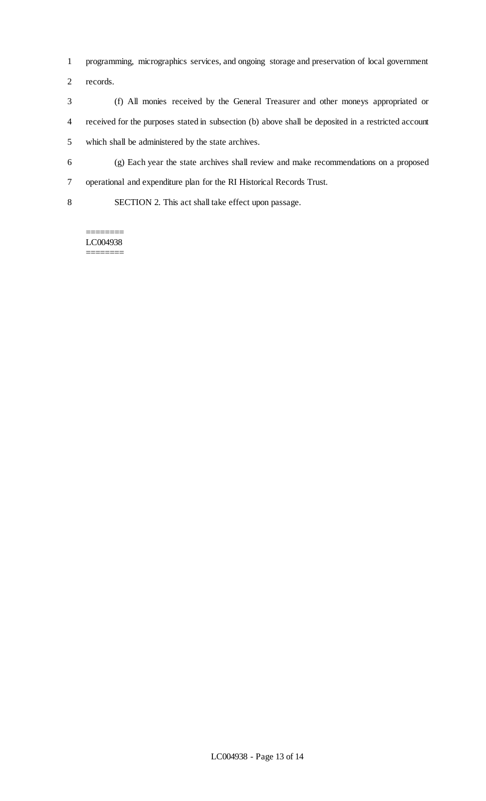- programming, micrographics services, and ongoing storage and preservation of local government
- records.
- (f) All monies received by the General Treasurer and other moneys appropriated or received for the purposes stated in subsection (b) above shall be deposited in a restricted account which shall be administered by the state archives.
- (g) Each year the state archives shall review and make recommendations on a proposed operational and expenditure plan for the RI Historical Records Trust.
- SECTION 2. This act shall take effect upon passage.

LC004938 ========

========